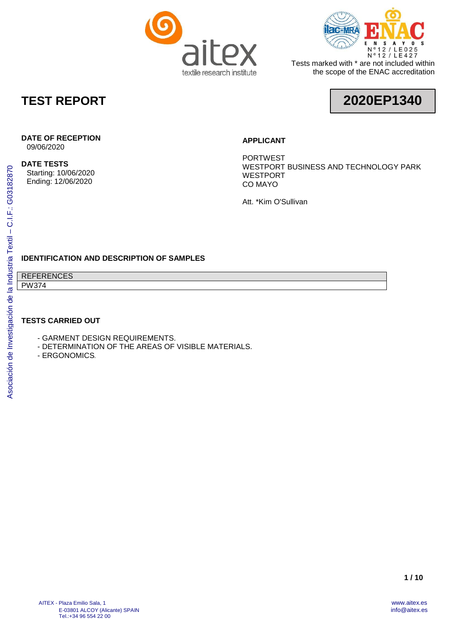



Tests marked with \* are not included within the scope of the ENAC accreditation

## **TEST REPORT**



## **DATE OF RECEPTION**

09/06/2020

#### **DATE TESTS**

Starting: 10/06/2020 Ending: 12/06/2020

#### **APPLICANT**

PORTWEST WESTPORT BUSINESS AND TECHNOLOGY PARK WESTPORT CO MAYO

Att. \*Kim O'Sullivan

### **IDENTIFICATION AND DESCRIPTION OF SAMPLES**

REFERENCES PW374

#### **TESTS CARRIED OUT**

- GARMENT DESIGN REQUIREMENTS.
- DETERMINATION OF THE AREAS OF VISIBLE MATERIALS.
- ERGONOMICS*.*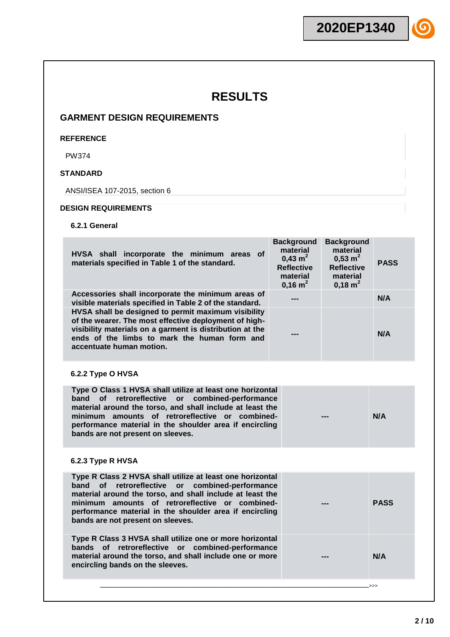### **GARMENT DESIGN REQUIREMENTS**

#### **REFERENCE**

PW374

### **STANDARD**

ANSI/ISEA 107-2015, section 6

#### **DESIGN REQUIREMENTS**

**6.2.1 General**

| HVSA shall incorporate the minimum areas of<br>materials specified in Table 1 of the standard.                                                                                                                                                                                                                                           | <b>Background</b><br>material<br>$0.43 \text{ m}^2$<br><b>Reflective</b><br>material<br>$0,16 \text{ m}^2$ | <b>Background</b><br>material<br>$0,53 \; \text{m}^2$<br><b>Reflective</b><br>material<br>$0,18 \text{ m}^2$ | <b>PASS</b> |
|------------------------------------------------------------------------------------------------------------------------------------------------------------------------------------------------------------------------------------------------------------------------------------------------------------------------------------------|------------------------------------------------------------------------------------------------------------|--------------------------------------------------------------------------------------------------------------|-------------|
| Accessories shall incorporate the minimum areas of<br>visible materials specified in Table 2 of the standard.                                                                                                                                                                                                                            |                                                                                                            |                                                                                                              | N/A         |
| HVSA shall be designed to permit maximum visibility<br>of the wearer. The most effective deployment of high-<br>visibility materials on a garment is distribution at the<br>ends of the limbs to mark the human form and<br>accentuate human motion.                                                                                     |                                                                                                            |                                                                                                              | N/A         |
| 6.2.2 Type O HVSA                                                                                                                                                                                                                                                                                                                        |                                                                                                            |                                                                                                              |             |
| Type O Class 1 HVSA shall utilize at least one horizontal<br>retroreflective<br>combined-performance<br>band<br>of<br>or<br>material around the torso, and shall include at least the<br>minimum amounts of retroreflective or combined-<br>performance material in the shoulder area if encircling<br>bands are not present on sleeves. |                                                                                                            |                                                                                                              | N/A         |
| 6.2.3 Type R HVSA                                                                                                                                                                                                                                                                                                                        |                                                                                                            |                                                                                                              |             |
| Type R Class 2 HVSA shall utilize at least one horizontal<br>band<br>of<br>retroreflective<br>or<br>combined-performance<br>material around the torso, and shall include at least the<br>minimum amounts of retroreflective or combined-<br>performance material in the shoulder area if encircling<br>bands are not present on sleeves. |                                                                                                            |                                                                                                              | <b>PASS</b> |
| Type R Class 3 HVSA shall utilize one or more horizontal<br>bands of retroreflective or combined-performance<br>material around the torso, and shall include one or more<br>encircling bands on the sleeves.                                                                                                                             |                                                                                                            |                                                                                                              | N/A         |
|                                                                                                                                                                                                                                                                                                                                          |                                                                                                            |                                                                                                              |             |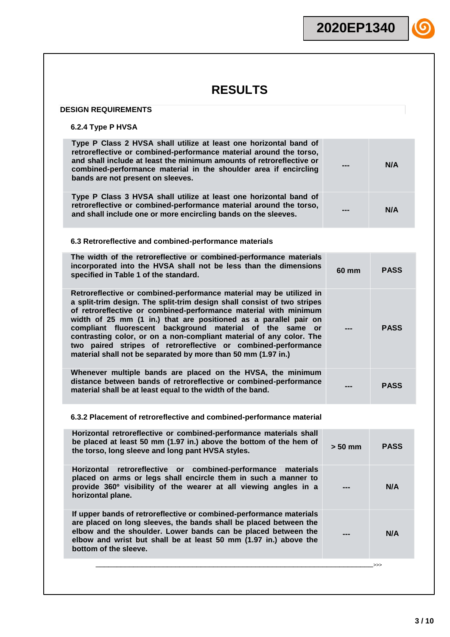#### **DESIGN REQUIREMENTS**

### **6.2.4 Type P HVSA**

| $0.2.4$ Type F $H$ V $3H$                                                                                                                                                                                                                                                                                                                                                                                                                                                                                                                                   |           |             |
|-------------------------------------------------------------------------------------------------------------------------------------------------------------------------------------------------------------------------------------------------------------------------------------------------------------------------------------------------------------------------------------------------------------------------------------------------------------------------------------------------------------------------------------------------------------|-----------|-------------|
| Type P Class 2 HVSA shall utilize at least one horizontal band of<br>retroreflective or combined-performance material around the torso,<br>and shall include at least the minimum amounts of retroreflective or<br>combined-performance material in the shoulder area if encircling<br>bands are not present on sleeves.                                                                                                                                                                                                                                    |           | N/A         |
| Type P Class 3 HVSA shall utilize at least one horizontal band of<br>retroreflective or combined-performance material around the torso,<br>and shall include one or more encircling bands on the sleeves.                                                                                                                                                                                                                                                                                                                                                   |           | N/A         |
| 6.3 Retroreflective and combined-performance materials                                                                                                                                                                                                                                                                                                                                                                                                                                                                                                      |           |             |
| The width of the retroreflective or combined-performance materials<br>incorporated into the HVSA shall not be less than the dimensions<br>specified in Table 1 of the standard.                                                                                                                                                                                                                                                                                                                                                                             | 60 mm     | <b>PASS</b> |
| Retroreflective or combined-performance material may be utilized in<br>a split-trim design. The split-trim design shall consist of two stripes<br>of retroreflective or combined-performance material with minimum<br>width of 25 mm (1 in.) that are positioned as a parallel pair on<br>compliant fluorescent background material of the same or<br>contrasting color, or on a non-compliant material of any color. The<br>two paired stripes of retroreflective or combined-performance<br>material shall not be separated by more than 50 mm (1.97 in.) |           | <b>PASS</b> |
| Whenever multiple bands are placed on the HVSA, the minimum<br>distance between bands of retroreflective or combined-performance<br>material shall be at least equal to the width of the band.                                                                                                                                                                                                                                                                                                                                                              |           | <b>PASS</b> |
| 6.3.2 Placement of retroreflective and combined-performance material                                                                                                                                                                                                                                                                                                                                                                                                                                                                                        |           |             |
| Horizontal retroreflective or combined-performance materials shall<br>be placed at least 50 mm (1.97 in.) above the bottom of the hem of<br>the torso, long sleeve and long pant HVSA styles.                                                                                                                                                                                                                                                                                                                                                               | $> 50$ mm | <b>PASS</b> |
| Horizontal retroreflective or combined-performance<br>materials<br>placed on arms or legs shall encircle them in such a manner to<br>provide 360° visibility of the wearer at all viewing angles in a<br>horizontal plane.                                                                                                                                                                                                                                                                                                                                  |           | N/A         |
| If upper bands of retroreflective or combined-performance materials<br>are placed on long sleeves, the bands shall be placed between the<br>elbow and the shoulder. Lower bands can be placed between the<br>elbow and wrist but shall be at least 50 mm (1.97 in.) above the<br>bottom of the sleeve.                                                                                                                                                                                                                                                      |           | N/A         |
|                                                                                                                                                                                                                                                                                                                                                                                                                                                                                                                                                             |           | >>>         |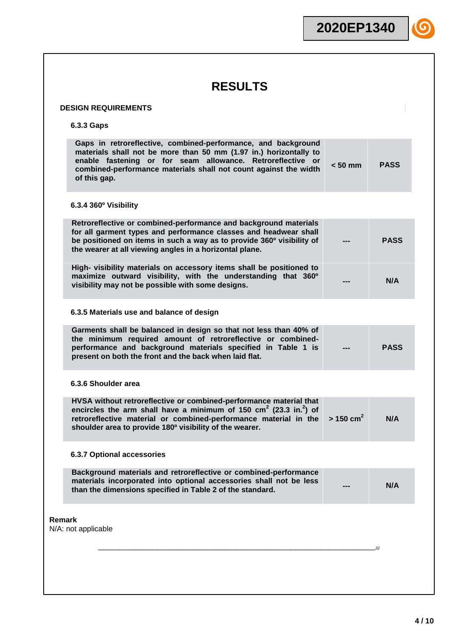|                                                                                                                                                                                                                                                                                              | 2020EP1340              |             |
|----------------------------------------------------------------------------------------------------------------------------------------------------------------------------------------------------------------------------------------------------------------------------------------------|-------------------------|-------------|
|                                                                                                                                                                                                                                                                                              |                         |             |
| <b>RESULTS</b>                                                                                                                                                                                                                                                                               |                         |             |
| <b>DESIGN REQUIREMENTS</b>                                                                                                                                                                                                                                                                   |                         |             |
| 6.3.3 Gaps                                                                                                                                                                                                                                                                                   |                         |             |
| Gaps in retroreflective, combined-performance, and background<br>materials shall not be more than 50 mm (1.97 in.) horizontally to<br>enable fastening or for seam allowance. Retroreflective or<br>combined-performance materials shall not count against the width<br>of this gap.         | $< 50$ mm               | <b>PASS</b> |
| 6.3.4 360° Visibility                                                                                                                                                                                                                                                                        |                         |             |
| Retroreflective or combined-performance and background materials<br>for all garment types and performance classes and headwear shall<br>be positioned on items in such a way as to provide 360° visibility of<br>the wearer at all viewing angles in a horizontal plane.                     |                         | <b>PASS</b> |
| High- visibility materials on accessory items shall be positioned to<br>maximize outward visibility, with the understanding that 360°<br>visibility may not be possible with some designs.                                                                                                   |                         | N/A         |
| 6.3.5 Materials use and balance of design                                                                                                                                                                                                                                                    |                         |             |
| Garments shall be balanced in design so that not less than 40% of<br>the minimum required amount of retroreflective or combined-<br>performance and background materials specified in Table 1 is<br>present on both the front and the back when laid flat.                                   |                         | <b>PASS</b> |
| 6.3.6 Shoulder area                                                                                                                                                                                                                                                                          |                         |             |
| HVSA without retroreflective or combined-performance material that<br>encircles the arm shall have a minimum of 150 $\text{cm}^2$ (23.3 in. <sup>2</sup> ) of<br>retroreflective material or combined-performance material in the<br>shoulder area to provide 180° visibility of the wearer. | $> 150$ cm <sup>2</sup> | N/A         |
| <b>6.3.7 Optional accessories</b>                                                                                                                                                                                                                                                            |                         |             |
| Background materials and retroreflective or combined-performance<br>materials incorporated into optional accessories shall not be less<br>than the dimensions specified in Table 2 of the standard.                                                                                          |                         | N/A         |
| Remark<br>N/A: not applicable                                                                                                                                                                                                                                                                |                         |             |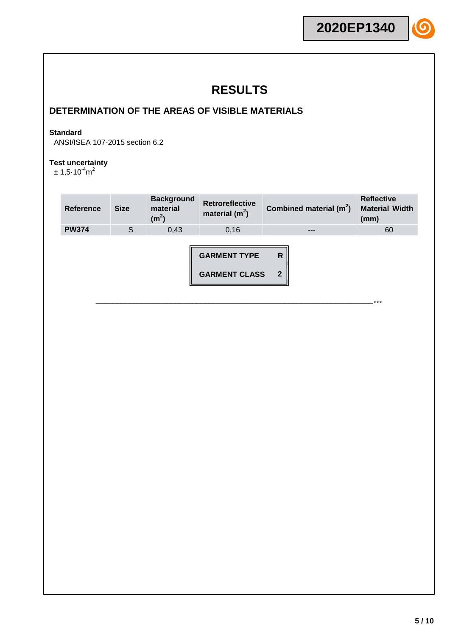## **DETERMINATION OF THE AREAS OF VISIBLE MATERIALS**

### **Standard**

ANSI/ISEA 107-2015 section 6.2

#### **Test uncertainty**

 $\pm$  1,5 $\cdot$ 10 $^{-4}$ m $^2$ 

| <b>Reference</b> | <b>Size</b> | <b>Background</b><br>material<br>(m <sup>2</sup> ) | <b>Retroreflective</b><br>material $(m^2)$  | Combined material $(m^2)$ | <b>Reflective</b><br><b>Material Width</b><br>(mm) |
|------------------|-------------|----------------------------------------------------|---------------------------------------------|---------------------------|----------------------------------------------------|
| <b>PW374</b>     | S           | 0,43                                               | 0,16                                        | ---                       | 60                                                 |
|                  |             |                                                    | <b>GARMENT TYPE</b><br><b>GARMENT CLASS</b> | R<br>$\overline{2}$       | >>>                                                |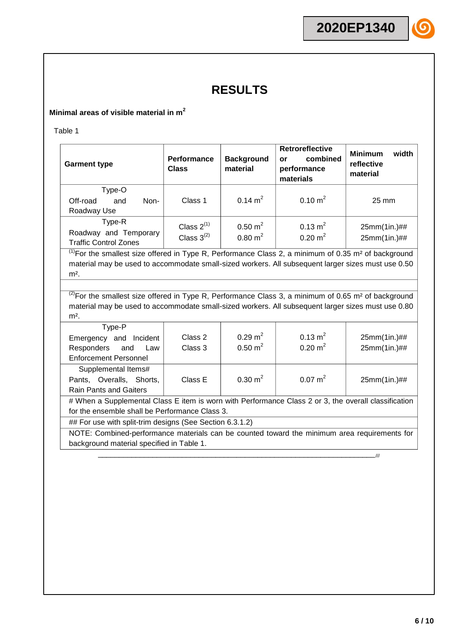### **Minimal areas of visible material in m<sup>2</sup>**

Table 1

| <b>Garment type</b>                                             | <b>Performance</b><br><b>Class</b> | <b>Background</b><br>material            | <b>Retroreflective</b><br>combined<br>or<br>performance<br>materials | <b>Minimum</b><br>width<br>reflective<br>material |
|-----------------------------------------------------------------|------------------------------------|------------------------------------------|----------------------------------------------------------------------|---------------------------------------------------|
| Type-O<br>Non-<br>Off-road<br>and<br>Roadway Use                | Class 1                            | $0.14 \text{ m}^2$                       | $0.10 \text{ m}^2$                                                   | 25 mm                                             |
| Type-R<br>Roadway and Temporary<br><b>Traffic Control Zones</b> | Class $2^{(1)}$<br>Class $3^{(2)}$ | $0.50 \text{ m}^2$<br>$0.80 \text{ m}^2$ | $0.13 \text{ m}^2$<br>$0.20 \text{ m}^2$                             | 25mm(1in.)##<br>25mm(1in.)##                      |

 $<sup>(1)</sup>$  For the smallest size offered in Type R, Performance Class 2, a minimum of 0.35 m<sup>2</sup> of background</sup> material may be used to accommodate small-sized workers. All subsequent larger sizes must use 0.50  $m<sup>2</sup>$ .

 $^{(2)}$ For the smallest size offered in Type R, Performance Class 3, a minimum of 0.65 m<sup>2</sup> of background material may be used to accommodate small-sized workers. All subsequent larger sizes must use 0.80  $m<sup>2</sup>$ .

| Type-P<br>Emergency and Incident<br>Responders<br>and<br>Law<br><b>Enforcement Personnel</b>                                                           | Class 2<br>Class 3 | $0.29 \text{ m}^2$<br>$0.50 \text{ m}^2$ | $0.13 \text{ m}^2$<br>$0.20 \text{ m}^2$ | 25mm(1in.)##<br>25mm(1in.)## |  |  |
|--------------------------------------------------------------------------------------------------------------------------------------------------------|--------------------|------------------------------------------|------------------------------------------|------------------------------|--|--|
| Supplemental Items#<br>Pants, Overalls, Shorts,<br><b>Rain Pants and Gaiters</b>                                                                       | Class E            | $0.30 \text{ m}^2$                       | $0.07 \text{ m}^2$                       | 25mm(1in.)##                 |  |  |
| # When a Supplemental Class E item is worn with Performance Class 2 or 3, the overall classification<br>for the ensemble shall be Performance Class 3. |                    |                                          |                                          |                              |  |  |

## For use with split-trim designs (See Section 6.3.1.2)

NOTE: Combined-performance materials can be counted toward the minimum area requirements for background material specified in Table 1.

\_\_\_\_\_\_\_\_\_\_\_\_\_\_\_\_\_\_\_\_\_\_\_\_\_\_\_\_\_\_\_\_\_\_\_\_\_\_\_\_\_\_\_\_\_\_\_\_\_\_\_\_\_\_\_\_\_\_\_\_\_\_\_\_\_\_///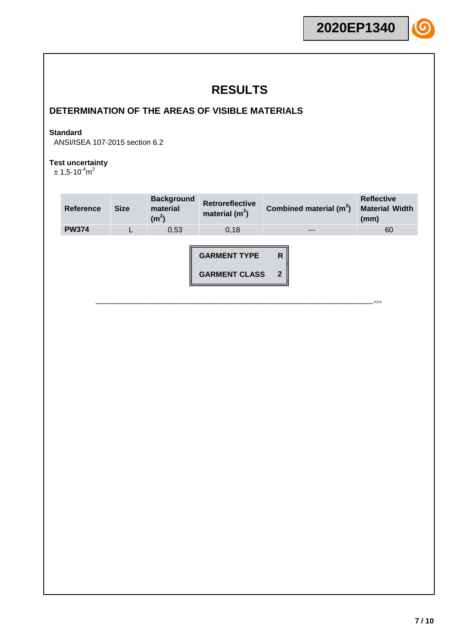## **DETERMINATION OF THE AREAS OF VISIBLE MATERIALS**

#### **Standard**

ANSI/ISEA 107-2015 section 6.2

#### **Test uncertainty**

 $\pm$  1,5 $\cdot$ 10 $^{-4}$ m $^2$ 

| Reference    | <b>Size</b> | <b>Background</b><br>material<br>(m <sup>2</sup> ) | <b>Retroreflective</b><br>material $(m2)$   | Combined material $(m^2)$ | <b>Reflective</b><br><b>Material Width</b><br>(mm) |
|--------------|-------------|----------------------------------------------------|---------------------------------------------|---------------------------|----------------------------------------------------|
| <b>PW374</b> |             | 0,53                                               | 0,18                                        | ---                       | 60                                                 |
|              |             |                                                    | <b>GARMENT TYPE</b><br><b>GARMENT CLASS</b> | R<br>$\overline{2}$       | .>>>                                               |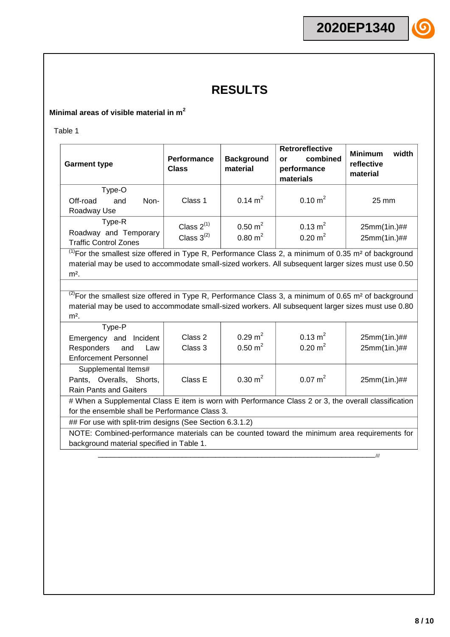### **Minimal areas of visible material in m<sup>2</sup>**

Table 1

| <b>Garment type</b>                                             | <b>Performance</b><br><b>Class</b> | <b>Background</b><br>material            | <b>Retroreflective</b><br>combined<br>or<br>performance<br>materials | <b>Minimum</b><br>width<br>reflective<br>material |
|-----------------------------------------------------------------|------------------------------------|------------------------------------------|----------------------------------------------------------------------|---------------------------------------------------|
| Type-O<br>Non-<br>Off-road<br>and<br>Roadway Use                | Class 1                            | $0.14 \text{ m}^2$                       | $0.10 \text{ m}^2$                                                   | $25 \text{ mm}$                                   |
| Type-R<br>Roadway and Temporary<br><b>Traffic Control Zones</b> | Class $2^{(1)}$<br>Class $3^{(2)}$ | $0.50 \text{ m}^2$<br>$0.80 \text{ m}^2$ | $0.13 \text{ m}^2$<br>$0.20 \text{ m}^2$                             | $25mm(1in.)$ ##<br>25mm(1in.)##                   |

 $<sup>(1)</sup>$  For the smallest size offered in Type R, Performance Class 2, a minimum of 0.35 m<sup>2</sup> of background</sup> material may be used to accommodate small-sized workers. All subsequent larger sizes must use 0.50  $m<sup>2</sup>$ .

 $^{(2)}$ For the smallest size offered in Type R, Performance Class 3, a minimum of 0.65 m<sup>2</sup> of background material may be used to accommodate small-sized workers. All subsequent larger sizes must use 0.80  $m<sup>2</sup>$ .

| Type-P<br>Emergency and Incident<br>Responders<br>and<br>Law<br><b>Enforcement Personnel</b>                                                           | Class 2<br>Class 3 | $0.29 \text{ m}^2$<br>$0.50 \text{ m}^2$ | $0.13 \text{ m}^2$<br>$0.20 \text{ m}^2$ | 25mm(1in.)##<br>25mm(1in.)## |  |  |
|--------------------------------------------------------------------------------------------------------------------------------------------------------|--------------------|------------------------------------------|------------------------------------------|------------------------------|--|--|
| Supplemental Items#<br>Pants, Overalls, Shorts,<br><b>Rain Pants and Gaiters</b>                                                                       | Class E            | $0.30 \text{ m}^2$                       | $0.07 \text{ m}^2$                       | 25mm(1in.)##                 |  |  |
| # When a Supplemental Class E item is worn with Performance Class 2 or 3, the overall classification<br>for the ensemble shall be Performance Class 3. |                    |                                          |                                          |                              |  |  |

## For use with split-trim designs (See Section 6.3.1.2)

NOTE: Combined-performance materials can be counted toward the minimum area requirements for background material specified in Table 1.

\_\_\_\_\_\_\_\_\_\_\_\_\_\_\_\_\_\_\_\_\_\_\_\_\_\_\_\_\_\_\_\_\_\_\_\_\_\_\_\_\_\_\_\_\_\_\_\_\_\_\_\_\_\_\_\_\_\_\_\_\_\_\_\_\_\_///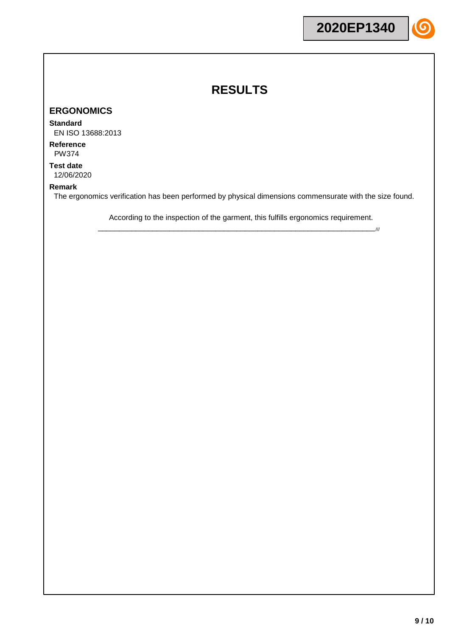### **ERGONOMICS**

#### **Standard**

EN ISO 13688:2013

**Reference** PW374

**Test date** 12/06/2020

#### **Remark**

The ergonomics verification has been performed by physical dimensions commensurate with the size found.

According to the inspection of the garment, this fulfills ergonomics requirement. \_\_\_\_\_\_\_\_\_\_\_\_\_\_\_\_\_\_\_\_\_\_\_\_\_\_\_\_\_\_\_\_\_\_\_\_\_\_\_\_\_\_\_\_\_\_\_\_\_\_\_\_\_\_\_\_\_\_\_\_\_\_\_\_\_\_///